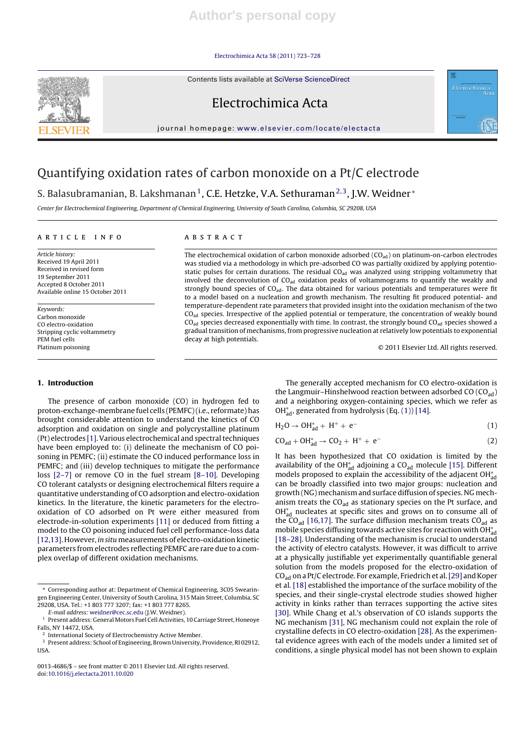#### Electrochimica Acta 58 (2011) 723–728

Contents lists available at SciVerse ScienceDirect



Electrochimica Acta

jour nal homepage: www.elsevier.com/locate/electacta

# Quantifying oxidation rates of carbon monoxide on a Pt/C electrode

S. Balasubramanian, B. Lakshmanan<sup>1</sup>, C.E. Hetzke, V.A. Sethuraman<sup>2,3</sup>, J.W. Weidner  $*$ 

Center for Electrochemical Engineering, Department of Chemical Engineering, University of South Carolina, Columbia, SC 29208, USA

## a r t i c l e i n f o

Article history: Received 19 April 2011 Received in revised form 19 September 2011 Accepted 8 October 2011 Available online 15 October 2011

Keywords: Carbon monoxide CO electro-oxidation Stripping cyclic voltammetry PEM fuel cells Platinum poisoning

## **1. Introduction**

The presence of carbon monoxide (CO) in hydrogen fed to proton-exchange-membrane fuel cells (PEMFC)(i.e., reformate)has brought considerable attention to understand the kinetics of CO adsorption and oxidation on single and polycrystalline platinum (Pt) electrodes [1]. Various electrochemical and spectral techniques have been employed to: (i) delineate the mechanism of CO poisoning in PEMFC; (ii) estimate the CO induced performance loss in PEMFC; and (iii) develop techniques to mitigate the performance loss [2–7] or remove CO in the fuel stream [8–10]. Developing CO tolerant catalysts or designing electrochemical filters require a quantitative understanding of CO adsorption and electro-oxidation kinetics. In the literature, the kinetic parameters for the electrooxidation of CO adsorbed on Pt were either measured from electrode-in-solution experiments [11] or deduced from fitting a model to the CO poisoning induced fuel cell performance-loss data [12,13]. However, in situ measurements of electro-oxidation kinetic parameters from electrodes reflecting PEMFC are rare due to a complex overlap of different oxidation mechanisms.

## A B S T R A C T

The electrochemical oxidation of carbon monoxide adsorbed  $(CO_{ad})$  on platinum-on-carbon electrodes was studied via a methodology in which pre-adsorbed CO was partially oxidized by applying potentiostatic pulses for certain durations. The residual  $CO<sub>ad</sub>$  was analyzed using stripping voltammetry that involved the deconvolution of  $CO<sub>ad</sub>$  oxidation peaks of voltammograms to quantify the weakly and strongly bound species of  $CO<sub>ad</sub>$ . The data obtained for various potentials and temperatures were fit to a model based on a nucleation and growth mechanism. The resulting fit produced potential- and temperature-dependent rate parameters that provided insight into the oxidation mechanism of the two CO<sub>ad</sub> species. Irrespective of the applied potential or temperature, the concentration of weakly bound  $CO<sub>ad</sub>$  species decreased exponentially with time. In contrast, the strongly bound  $CO<sub>ad</sub>$  species showed a gradual transition of mechanisms, from progressive nucleation at relatively low potentials to exponential decay at high potentials.

© 2011 Elsevier Ltd. All rights reserved.

Electrochimica<br>Aci

The generally accepted mechanism for CO electro-oxidation is the Langmuir–Hinshelwood reaction between adsorbed  $CO$  ( $CO<sub>ad</sub>$ ) and a neighboring oxygen-containing species, which we refer as OH $_{\text{ad}}^{*}$ , generated from hydrolysis (Eq. (1)) [14].

$$
H_2O \to OH_{ad}^* + H^+ + e^-
$$
 (1)

 $CO_{ad} + OH_{ad}^* \rightarrow CO_2 + H^+ + e^-$  (2)

It has been hypothesized that CO oxidation is limited by the availability of the OH $_{\text{ad}}^*$  adjoining a CO<sub>ad</sub> molecule [15]. Different models proposed to explain the accessibility of the adjacent OH $_{\rm ad}^*$ can be broadly classified into two major groups: nucleation and growth (NG) mechanism and surface diffusion of species. NG mechanism treats the  $CO<sub>ad</sub>$  as stationary species on the Pt surface, and OH<sub>4d</sub> nucleates at specific sites and grows on to consume all of the  $CO<sub>ad</sub>$  [16,17]. The surface diffusion mechanism treats  $CO<sub>ad</sub>$  as mobile species diffusing towards active sites for reaction with OH $_{\rm ad}^*$ [18–28]. Understanding of the mechanism is crucial to understand the activity of electro catalysts. However, it was difficult to arrive at a physically justifiable yet experimentally quantifiable general solution from the models proposed for the electro-oxidation of  $CO<sub>ad</sub>$  on a Pt/C electrode. For example, Friedrich et al. [29] and Koper et al. [18] established the importance of the surface mobility of the species, and their single-crystal electrode studies showed higher activity in kinks rather than terraces supporting the active sites [30]. While Chang et al.'s observation of CO islands supports the NG mechanism [31], NG mechanism could not explain the role of crystalline defects in CO electro-oxidation [28]. As the experimental evidence agrees with each of the models under a limited set of conditions, a single physical model has not been shown to explain

<sup>∗</sup> Corresponding author at: Department of Chemical Engineering, 3C05 Swearingen Engineering Center, University of South Carolina, 315 Main Street, Columbia, SC 29208, USA. Tel.: +1 803 777 3207; fax: +1 803 777 8265.

E-mail address: weidner@cec.sc.edu (J.W. Weidner).

<sup>&</sup>lt;sup>1</sup> Present address: General Motors Fuel Cell Activities, 10 Carriage Street, Honeoye Falls, NY 14472, USA.

<sup>2</sup> International Society of Electrochemistry Active Member.

<sup>&</sup>lt;sup>3</sup> Present address: School of Engineering, Brown University, Providence, RI 02912, USA.

<sup>0013-4686/\$</sup> – see front matter © 2011 Elsevier Ltd. All rights reserved. doi:10.1016/j.electacta.2011.10.020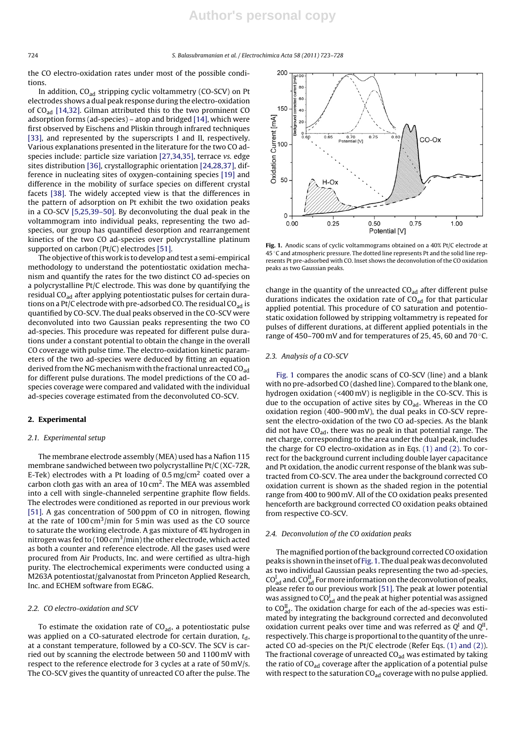the CO electro-oxidation rates under most of the possible conditions.

In addition,  $CO<sub>ad</sub>$  stripping cyclic voltammetry (CO-SCV) on Pt electrodes shows a dual peak response during the electro-oxidation of CO<sub>ad</sub> [14,32]. Gilman attributed this to the two prominent CO adsorption forms (ad-species) – atop and bridged [14], which were first observed by Eischens and Pliskin through infrared techniques [33], and represented by the superscripts I and II, respectively. Various explanations presented in the literature for the two CO adspecies include: particle size variation [27,34,35], terrace vs. edge sites distribution [36], crystallographic orientation [24,28,37], difference in nucleating sites of oxygen-containing species [19] and difference in the mobility of surface species on different crystal facets [38]. The widely accepted view is that the differences in the pattern of adsorption on Pt exhibit the two oxidation peaks in a CO-SCV [5,25,39–50]. By deconvoluting the dual peak in the voltammogram into individual peaks, representing the two adspecies, our group has quantified desorption and rearrangement kinetics of the two CO ad-species over polycrystalline platinum supported on carbon (Pt/C) electrodes [51].

The objective of this work is to develop and test a semi-empirical methodology to understand the potentiostatic oxidation mechanism and quantify the rates for the two distinct CO ad-species on a polycrystalline Pt/C electrode. This was done by quantifying the residual CO<sub>ad</sub> after applying potentiostatic pulses for certain durations on a Pt/C electrode with pre-adsorbed CO. The residual  $CO<sub>ad</sub>$  is quantified by CO-SCV. The dual peaks observed in the CO-SCV were deconvoluted into two Gaussian peaks representing the two CO ad-species. This procedure was repeated for different pulse durations under a constant potential to obtain the change in the overall CO coverage with pulse time. The electro-oxidation kinetic parameters of the two ad-species were deduced by fitting an equation derived from the NG mechanism with the fractional unreacted  $CO<sub>ad</sub>$ for different pulse durations. The model predictions of the CO adspecies coverage were compared and validated with the individual ad-species coverage estimated from the deconvoluted CO-SCV.

## **2. Experimental**

#### 2.1. Experimental setup

The membrane electrode assembly (MEA) used has a Nafion 115 membrane sandwiched between two polycrystalline Pt/C (XC-72R, E-Tek) electrodes with a Pt loading of 0.5 mg/cm<sup>2</sup> coated over a carbon cloth gas with an area of  $10 \text{ cm}^2$ . The MEA was assembled into a cell with single-channeled serpentine graphite flow fields. The electrodes were conditioned as reported in our previous work [51]. A gas concentration of 500 ppm of CO in nitrogen, flowing at the rate of  $100 \text{ cm}^3/\text{min}$  for 5 min was used as the CO source to saturate the working electrode. A gas mixture of 4% hydrogen in nitrogen was fed to (100 cm<sup>3</sup>/min) the other electrode, which acted as both a counter and reference electrode. All the gases used were procured from Air Products, Inc. and were certified as ultra-high purity. The electrochemical experiments were conducted using a M263A potentiostat/galvanostat from Princeton Applied Research, Inc. and ECHEM software from EG&G.

#### 2.2. CO electro-oxidation and SCV

To estimate the oxidation rate of  $CO<sub>ad</sub>$ , a potentiostatic pulse was applied on a CO-saturated electrode for certain duration,  $t_d$ , at a constant temperature, followed by a CO-SCV. The SCV is carried out by scanning the electrode between 50 and 1100 mV with respect to the reference electrode for 3 cycles at a rate of 50 mV/s. The CO-SCV gives the quantity of unreacted CO after the pulse. The



**Fig. 1.** Anodic scans of cyclic voltammograms obtained on a 40% Pt/C electrode at 45 ◦C and atmospheric pressure. The dotted line represents Pt and the solid line represents Pt pre-adsorbed with CO. Inset shows the deconvolution of the CO oxidation peaks as two Gaussian peaks.

change in the quantity of the unreacted  $CO<sub>ad</sub>$  after different pulse durations indicates the oxidation rate of  $CO<sub>ad</sub>$  for that particular applied potential. This procedure of CO saturation and potentiostatic oxidation followed by stripping voltammetry is repeated for pulses of different durations, at different applied potentials in the range of 450–700 mV and for temperatures of 25, 45, 60 and 70 $\degree$ C.

## 2.3. Analysis of a CO-SCV

Fig. 1 compares the anodic scans of CO-SCV (line) and a blank with no pre-adsorbed CO (dashed line). Compared to the blank one, hydrogen oxidation (<400 mV) is negligible in the CO-SCV. This is due to the occupation of active sites by  $CO<sub>ad</sub>$ . Whereas in the CO oxidation region (400–900 mV), the dual peaks in CO-SCV represent the electro-oxidation of the two CO ad-species. As the blank did not have  $CO<sub>ad</sub>$ , there was no peak in that potential range. The net charge, corresponding to the area under the dual peak, includes the charge for CO electro-oxidation as in Eqs. (1) and (2). To correct for the background current including double layer capacitance and Pt oxidation, the anodic current response of the blank was subtracted from CO-SCV. The area under the background corrected CO oxidation current is shown as the shaded region in the potential range from 400 to 900 mV. All of the CO oxidation peaks presented henceforth are background corrected CO oxidation peaks obtained from respective CO-SCV.

## 2.4. Deconvolution of the CO oxidation peaks

The magnified portion of the background corrected CO oxidation peaks is shown in the inset of Fig. 1. The dual peak was deconvoluted as two individual Gaussian peaks representing the two ad-species,  $\mathrm{CO}_\mathrm{ad}^\mathrm{I}$  and.  $\mathrm{CO}_\mathrm{ad}^\mathrm{II}$  For more information on the deconvolution of peaks, please refer to our previous work [51]. The peak at lower potential was assigned to CO $_{\rm ad}^{\rm I}$  and the peak at higher potential was assigned to CO $_{\text{ad}}^{\text{II}}$ . The oxidation charge for each of the ad-species was estimated by integrating the background corrected and deconvoluted oxidation current peaks over time and was referred as  $Q<sup>I</sup>$  and  $Q<sup>II</sup>$ , respectively. This charge is proportional to the quantity of the unreacted CO ad-species on the Pt/C electrode (Refer Eqs. (1) and (2)). The fractional coverage of unreacted CO<sub>ad</sub> was estimated by taking the ratio of  $CO<sub>ad</sub>$  coverage after the application of a potential pulse with respect to the saturation  $CO<sub>ad</sub>$  coverage with no pulse applied.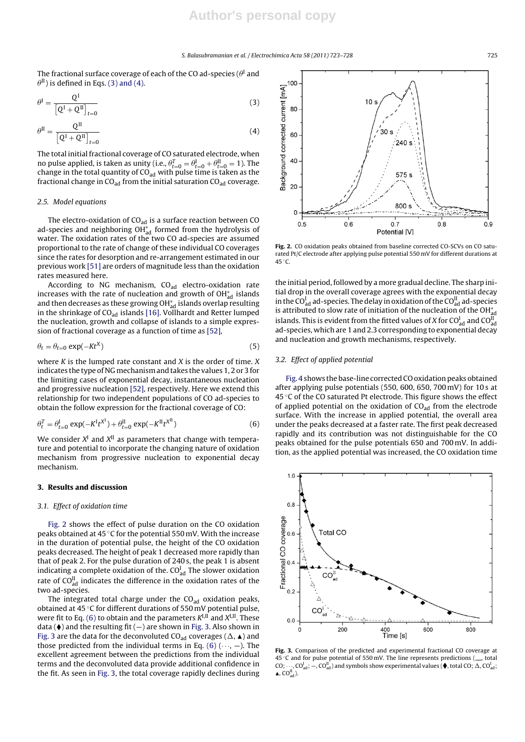The fractional surface coverage of each of the CO ad-species ( $\theta^{\text{I}}$  and  $\theta^{\text{II}}$ ) is defined in Eqs. (3) and (4).

$$
\theta^{\mathbf{I}} = \frac{\mathbf{Q}^{\mathbf{I}}}{\left[\mathbf{Q}^{\mathbf{I}} + \mathbf{Q}^{\mathbf{II}}\right]_{t=0}}\tag{3}
$$

$$
\theta^{\text{II}} = \frac{Q^{\text{II}}}{\left[Q^{\text{I}} + Q^{\text{II}}\right]_{t=0}}\tag{4}
$$

The total initial fractional coverage of CO saturated electrode, when no pulse applied, is taken as unity (i.e.,  $\theta_{t=0}^{T} = \theta_{t=0}^{1} + \theta_{t=0}^{II} = 1$ ). The change in the total quantity of  $CO_{ad}$  with pulse time is taken as the fractional change in  $CO<sub>ad</sub>$  from the initial saturation  $CO<sub>ad</sub>$  coverage.

#### 2.5. Model equations

The electro-oxidation of CO<sub>ad</sub> is a surface reaction between CO ad-species and neighboring OH $_{\mathrm{ad}}^*$  formed from the hydrolysis of water. The oxidation rates of the two CO ad-species are assumed proportional to the rate of change of these individual CO coverages since the rates for desorption and re-arrangement estimated in our previous work [51] are orders of magnitude less than the oxidation rates measured here.

According to NG mechanism,  $CO<sub>ad</sub>$  electro-oxidation rate increases with the rate of nucleation and growth of OH $_{\rm ad}^*$  islands and then decreases as these growing OH $_{\rm ad}^*$  islands overlap resulting in the shrinkage of  $CO<sub>ad</sub>$  islands [16]. Vollhardt and Retter lumped the nucleation, growth and collapse of islands to a simple expression of fractional coverage as a function of time as [52],

$$
\theta_t = \theta_{t=0} \exp(-Kt^X) \tag{5}
$$

where  $K$  is the lumped rate constant and  $X$  is the order of time.  $X$ indicates the type of NG mechanism and takes the values 1, 2 or 3 for the limiting cases of exponential decay, instantaneous nucleation and progressive nucleation [52], respectively. Here we extend this relationship for two independent populations of CO ad-species to obtain the follow expression for the fractional coverage of CO:

$$
\theta_t^T = \theta_{t=0}^{\text{l}} \exp(-K^{\text{l}} t^{X^{\text{l}}}) + \theta_{t=0}^{\text{II}} \exp(-K^{\text{II}} t^{X^{\text{II}}}) \tag{6}
$$

We consider  $X^I$  and  $X^{II}$  as parameters that change with temperature and potential to incorporate the changing nature of oxidation mechanism from progressive nucleation to exponential decay mechanism.

## **3. Results and discussion**

#### 3.1. Effect of oxidation time

Fig. 2 shows the effect of pulse duration on the CO oxidation peaks obtained at 45 ◦C for the potential 550 mV. With the increase in the duration of potential pulse, the height of the CO oxidation peaks decreased. The height of peak 1 decreased more rapidly than that of peak 2. For the pulse duration of 240 s, the peak 1 is absent indicating a complete oxidation of the.  $\mathrm{CO}^\mathrm{I}_\mathrm{ad}$  The slower oxidation rate of CO $_{\mathrm{ad}}^{\mathrm{II}}$  indicates the difference in the oxidation rates of the two ad-species.

The integrated total charge under the  $CO<sub>ad</sub>$  oxidation peaks, obtained at 45 ◦C for different durations of 550 mV potential pulse, were fit to Eq. (6) to obtain and the parameters  $K^{I,II}$  and  $X^{I,II}$ . These data ( $\blacklozenge$ ) and the resulting fit ( $-$ ) are shown in Fig. 3. Also shown in Fig. 3 are the data for the deconvoluted CO<sub>ad</sub> coverages ( $\Delta$ ,  $\blacktriangle$ ) and those predicted from the individual terms in Eq. (6)  $(\cdots, -)$ . The excellent agreement between the predictions from the individual terms and the deconvoluted data provide additional confidence in the fit. As seen in Fig. 3, the total coverage rapidly declines during



**Fig. 2.** CO oxidation peaks obtained from baseline corrected CO-SCVs on CO saturated Pt/C electrode after applying pulse potential 550 mV for different durations at 45 ◦C.

the initial period, followed by a more gradual decline. The sharp initial drop in the overall coverage agrees with the exponential decay in the CO $_{\rm ad}^{\rm I}$  ad-species. The delay in oxidation of the CO $_{\rm ad}^{\rm II}$  ad-species is attributed to slow rate of initiation of the nucleation of the OH $_{\rm ad}^*$ islands. This is evident from the fitted values of X for  $CO_{ad}^I$  and  $CO_{ad}^{II}$ ad-species, which are 1 and 2.3 corresponding to exponential decay and nucleation and growth mechanisms, respectively.

## 3.2. Effect of applied potential

Fig. 4 shows the base-line corrected CO oxidation peaks obtained after applying pulse potentials (550, 600, 650, 700 mV) for 10 s at 45 °C of the CO saturated Pt electrode. This figure shows the effect of applied potential on the oxidation of  $CO<sub>ad</sub>$  from the electrode surface. With the increase in applied potential, the overall area under the peaks decreased at a faster rate. The first peak decreased rapidly and its contribution was not distinguishable for the CO peaks obtained for the pulse potentials 650 and 700 mV. In addition, as the applied potential was increased, the CO oxidation time



**Fig. 3.** Comparison of the predicted and experimental fractional CO coverage at  $45^{\circ}$ C and for pulse potential of 550 mV. The line represents predictions ( $-$ , total  $CO; \dots, CO<sub>ad</sub><sup>I</sup>, -, CO<sub>ad</sub><sup>II</sup>$  and symbols show experimental values ( $\blacklozenge$ , total CO;  $\triangle$ , CO $<sub>ad</sub><sup>I</sup>$ ;  $\blacktriangle$ ,  $CO<sub>ad</sub><sup>II</sup>$ ).</sub>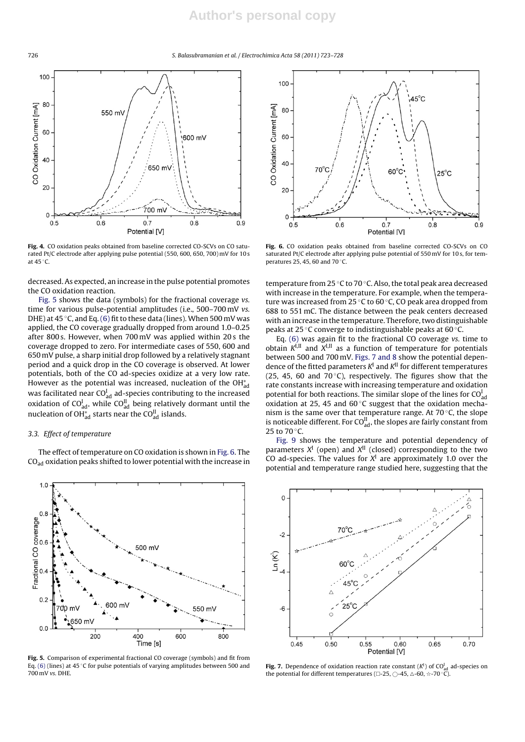726 S. Balasubramanian et al. / Electrochimica Acta *58 (2011) 723–728*



**Fig. 4.** CO oxidation peaks obtained from baseline corrected CO-SCVs on CO saturated Pt/C electrode after applying pulse potential (550, 600, 650, 700) mV for 10 s at 45 ◦C.

decreased. As expected, an increase in the pulse potential promotes the CO oxidation reaction.

Fig. 5 shows the data (symbols) for the fractional coverage vs. time for various pulse-potential amplitudes (i.e., 500–700 mV vs. DHE) at  $45^{\circ}$ C, and Eq. (6) fit to these data (lines). When 500 mV was applied, the CO coverage gradually dropped from around 1.0–0.25 after 800 s. However, when 700 mV was applied within 20 s the coverage dropped to zero. For intermediate cases of 550, 600 and 650 mV pulse, a sharp initial drop followed by a relatively stagnant period and a quick drop in the CO coverage is observed. At lower potentials, both of the CO ad-species oxidize at a very low rate. However as the potential was increased, nucleation of the OH $_{\rm ad}^*$ was facilitated near CO $_{\rm ad}^{\rm I}$  ad-species contributing to the increased oxidation of CO $_{\rm ad}^{\rm I}$ , while CO $_{\rm ad}^{\rm II}$  being relatively dormant until the nucleation of OH $_{\rm ad}^*$  starts near the CO $_{\rm ad}^{\rm II}$  islands.

## 3.3. Effect of temperature

The effect of temperature on CO oxidation is shown in Fig. 6. The CO<sub>ad</sub> oxidation peaks shifted to lower potential with the increase in



**Fig. 5.** Comparison of experimental fractional CO coverage (symbols) and fit from Eq. (6) (lines) at 45 ◦C for pulse potentials of varying amplitudes between 500 and 700 mV vs. DHE.



**Fig. 6.** CO oxidation peaks obtained from baseline corrected CO-SCVs on CO saturated Pt/C electrode after applying pulse potential of 550 mV for 10 s, for temperatures 25, 45, 60 and 70 ◦C.

temperature from 25 °C to 70 °C. Also, the total peak area decreased with increase in the temperature. For example, when the temperature was increased from 25 ◦C to 60 ◦C, CO peak area dropped from 688 to 551 mC. The distance between the peak centers decreased with an increase in the temperature. Therefore, two distinguishable peaks at 25 °C converge to indistinguishable peaks at 60 °C.

Eq. (6) was again fit to the fractional CO coverage vs. time to obtain  $K^{I,II}$  and  $K^{I,II}$  as a function of temperature for potentials between 500 and 700 mV. Figs. 7 and 8 show the potential dependence of the fitted parameters  $K<sup>I</sup>$  and  $K<sup>II</sup>$  for different temperatures (25, 45, 60 and 70 $\degree$ C), respectively. The figures show that the rate constants increase with increasing temperature and oxidation potential for both reactions. The similar slope of the lines for  $CO<sup>1</sup><sub>ad</sub>$ oxidation at 25, 45 and 60 ◦C suggest that the oxidation mechanism is the same over that temperature range. At 70 ◦C, the slope is noticeable different. For CO $_{\rm ad}^{\rm II}$ , the slopes are fairly constant from 25 to 70 °C.

Fig. 9 shows the temperature and potential dependency of parameters  $X^I$  (open) and  $X^{II}$  (closed) corresponding to the two CO ad-species. The values for  $X<sup>I</sup>$  are approximately 1.0 over the potential and temperature range studied here, suggesting that the



**Fig. 7.** Dependence of oxidation reaction rate constant  $(K^1)$  of CO $_{\text{ad}}^I$  ad-species on the potential for different temperatures (□-25, ○-45, △-60, ☆-70 °C).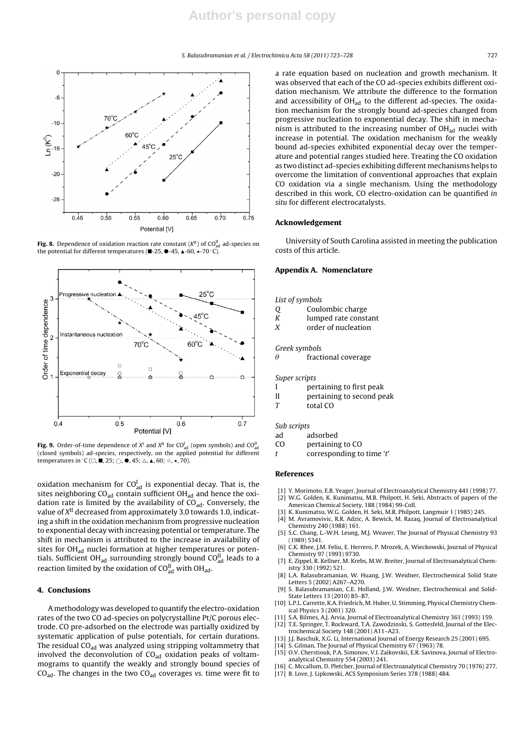

**Fig. 8.** Dependence of oxidation reaction rate constant ( $K^{\text{II}}$ ) of CO $_{\text{ad}}^{\text{II}}$  ad-species on the potential for different temperatures ( $\blacksquare$ -25,  $\blacklozenge$  -45,  $\blacktriangle$ -60,  $\star$ -70 °C).



**Fig. 9.** Order-of-time dependence of  $X^I$  and  $X^{II}$  for  $CO_{ad}^I$  (open symbols) and  $CO_{ad}^I$ (closed symbols) ad-species, respectively, on the applied potential for different temperatures in  $^{\circ}$ C ( $\Box$ ,  $\blacksquare$ , 25;  $\bigcirc$ ,  $\spadesuit$ , 45;  $\triangle$ ,  $\blacktriangle$ , 60;  $\dot{\bowtie}$ ,  $\star$ , 70).

oxidation mechanism for CO $_{\rm ad}^{\rm I}$  is exponential decay. That is, the sites neighboring  $CO<sub>ad</sub>$  contain sufficient OH $<sub>ad</sub>$  and hence the oxi-</sub> dation rate is limited by the availability of  $CO<sub>ad</sub>$ . Conversely, the value of  $X<sup>II</sup>$  decreased from approximately 3.0 towards 1.0, indicating a shift in the oxidation mechanism from progressive nucleation to exponential decay with increasing potential or temperature. The shift in mechanism is attributed to the increase in availability of sites for OH<sub>ad</sub> nuclei formation at higher temperatures or potentials. Sufficient OH $_{\text{ad}}$  surrounding strongly bound CO $_{\text{ad}}^{\text{II}}$  leads to a reaction limited by the oxidation of CO $_{\rm ad}^{\rm II}$  with OH $_{\rm ad}$ .

## **4. Conclusions**

A methodology was developed to quantify the electro-oxidation rates of the two CO ad-species on polycrystalline Pt/C porous electrode. CO pre-adsorbed on the electrode was partially oxidized by systematic application of pulse potentials, for certain durations. The residual  $CO<sub>ad</sub>$  was analyzed using stripping voltammetry that involved the deconvolution of  $CO<sub>ad</sub>$  oxidation peaks of voltammograms to quantify the weakly and strongly bound species of  $CO<sub>ad</sub>$ . The changes in the two  $CO<sub>ad</sub>$  coverages vs. time were fit to

a rate equation based on nucleation and growth mechanism. It was observed that each of the CO ad-species exhibits different oxidation mechanism. We attribute the difference to the formation and accessibility of  $OH_{ad}$  to the different ad-species. The oxidation mechanism for the strongly bound ad-species changed from progressive nucleation to exponential decay. The shift in mechanism is attributed to the increasing number of  $OH<sub>ad</sub>$  nuclei with increase in potential. The oxidation mechanism for the weakly bound ad-species exhibited exponential decay over the temperature and potential ranges studied here. Treating the CO oxidation as two distinct ad-species exhibiting different mechanisms helps to overcome the limitation of conventional approaches that explain CO oxidation via a single mechanism. Using the methodology described in this work, CO electro-oxidation can be quantified in situ for different electrocatalysts.

#### **Acknowledgement**

University of South Carolina assisted in meeting the publication costs of this article.

## **Appendix A. Nomenclature**

- List of symbols
- Q Coulombic charge
- K lumped rate constant
- X order of nucleation

#### Greek symbols

 $\theta$ fractional coverage

#### Super scripts

- I pertaining to first peak
- II pertaining to second peak
- T total CO

#### Sub scripts

- ad adsorbed
- CO pertaining to CO
- t corresponding to time 't'

#### **References**

- [1] Y. Morimoto, E.B. Yeager, Journal of Electroanalytical Chemistry 441 (1998) 77.
- [2] W.G. Golden, K. Kunimatsu, M.R. Philpott, H. Seki, Abstracts of papers of the American Chemical Society, 188 (1984) 99-Coll.
- [3] K. Kunimatsu, W.G. Golden, H. Seki, M.R. Philpott, Langmuir 1 (1985) 245.
- [4] M. Avramovivic, R.R. Adzic, A. Bewick, M. Razaq, Journal of Electroanalytical Chemistry 240 (1988) 161.
- [5] S.C. Chang, L.-W.H. Leung, M.J. Weaver, The Journal of Physical Chemistry 93 (1989) 5341.
- [6] C.K. Rhee, J.M. Feliu, E. Herrero, P. Mrozek, A. Wieckowski, Journal of Physical Chemistry 97 (1993) 9730.
- [7] E. Zippel, R. Kellner, M. Krebs, M.W. Breiter, Journal of Electroanalytical Chemistry 330 (1992) 521.
- [8] L.A. Balasubramanian, W. Huang, J.W. Weidner, Electrochemical Solid State Letters 5 (2002) A267–A270.
- [9] S. Balasubramanian, C.E. Holland, J.W. Weidner, Electrochemical and Solid-State Letters 13 (2010) B5–B7.
- [10] L.P.L. Carrette, K.A. Friedrich, M. Huber, U. Stimming, Physical Chemistry Chemical Physics 3 (2001) 320.
- S.A. Bilmes, A.J. Arvia, Journal of Electroanalytical Chemistry 361 (1993) 159. [12] T.E. Springer, T. Rockward, T.A. Zawodzinski, S. Gottesfeld, Journal of the Electrochemical Society 148 (2001) A11–A23.
- 
- [13] J.J. Baschuk, X.G. Li, International Journal of Energy Research 25 (2001) 695. [14] S. Gilman, The Journal of Physical Chemistry 67 (1963) 78.
- [15] O.V. Cherstiouk, P.A. Simonov, V.I. Zaikovskii, E.R. Savinova, Journal of Electroanalytical Chemistry 554 (2003) 241.
- [16] C. Mccallum, D. Pletcher, Journal of Electroanalytical Chemistry 70 (1976) 277.
- [17] B. Love, J. Lipkowski, ACS Symposium Series 378 (1988) 484.